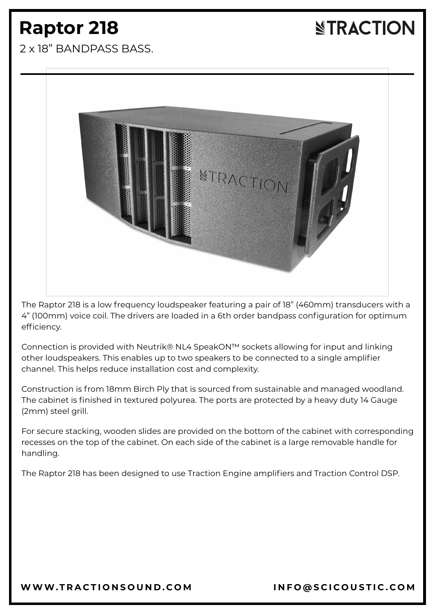# **Raptor 218**

# **NTRACTION**

2 x 18" BANDPASS BASS.



The Raptor 218 is a low frequency loudspeaker featuring a pair of 18" (460mm) transducers with a 4" (100mm) voice coil. The drivers are loaded in a 6th order bandpass configuration for optimum efficiency.

Connection is provided with Neutrik® NL4 SpeakON™ sockets allowing for input and linking other loudspeakers. This enables up to two speakers to be connected to a single amplifier channel. This helps reduce installation cost and complexity.

Construction is from 18mm Birch Ply that is sourced from sustainable and managed woodland. The cabinet is finished in textured polyurea. The ports are protected by a heavy duty 14 Gauge (2mm) steel grill.

For secure stacking, wooden slides are provided on the bottom of the cabinet with corresponding recesses on the top of the cabinet. On each side of the cabinet is a large removable handle for handling.

The Raptor 218 has been designed to use Traction Engine amplifiers and Traction Control DSP.